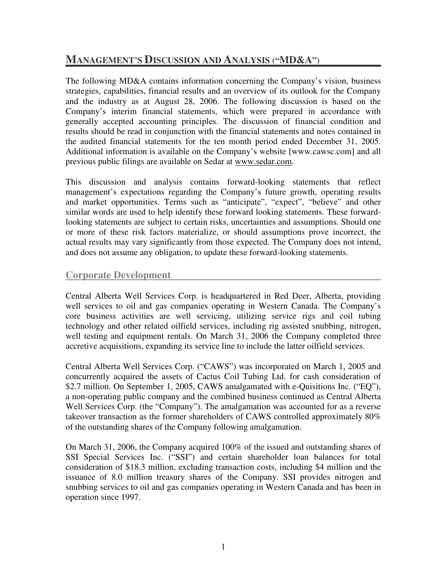# **MANAGEMENT'S DISCUSSION AND ANALYSIS ("MD&A")**

The following MD&A contains information concerning the Company's vision, business strategies, capabilities, financial results and an overview of its outlook for the Company and the industry as at August 28, 2006. The following discussion is based on the Company's interim financial statements, which were prepared in accordance with generally accepted accounting principles. The discussion of financial condition and results should be read in conjunction with the financial statements and notes contained in the audited financial statements for the ten month period ended December 31, 2005. Additional information is available on the Company's website [www.cawsc.com] and all previous public filings are available on Sedar at www.sedar.com.

This discussion and analysis contains forward-looking statements that reflect management's expectations regarding the Company's future growth, operating results and market opportunities. Terms such as "anticipate", "expect", "believe" and other similar words are used to help identify these forward looking statements. These forwardlooking statements are subject to certain risks, uncertainties and assumptions. Should one or more of these risk factors materialize, or should assumptions prove incorrect, the actual results may vary significantly from those expected. The Company does not intend, and does not assume any obligation, to update these forward-looking statements.

## **Corporate Development**

Central Alberta Well Services Corp. is headquartered in Red Deer, Alberta, providing well services to oil and gas companies operating in Western Canada. The Company's core business activities are well servicing, utilizing service rigs and coil tubing technology and other related oilfield services, including rig assisted snubbing, nitrogen, well testing and equipment rentals. On March 31, 2006 the Company completed three accretive acquisitions, expanding its service line to include the latter oilfield services.

Central Alberta Well Services Corp. ("CAWS") was incorporated on March 1, 2005 and concurrently acquired the assets of Cactus Coil Tubing Ltd. for cash consideration of \$2.7 million. On September 1, 2005, CAWS amalgamated with e-Quisitions Inc. ("EQ"), a non-operating public company and the combined business continued as Central Alberta Well Services Corp. (the "Company"). The amalgamation was accounted for as a reverse takeover transaction as the former shareholders of CAWS controlled approximately 80% of the outstanding shares of the Company following amalgamation.

On March 31, 2006, the Company acquired 100% of the issued and outstanding shares of SSI Special Services Inc. ("SSI") and certain shareholder loan balances for total consideration of \$18.3 million, excluding transaction costs, including \$4 million and the issuance of 8.0 million treasury shares of the Company. SSI provides nitrogen and snubbing services to oil and gas companies operating in Western Canada and has been in operation since 1997.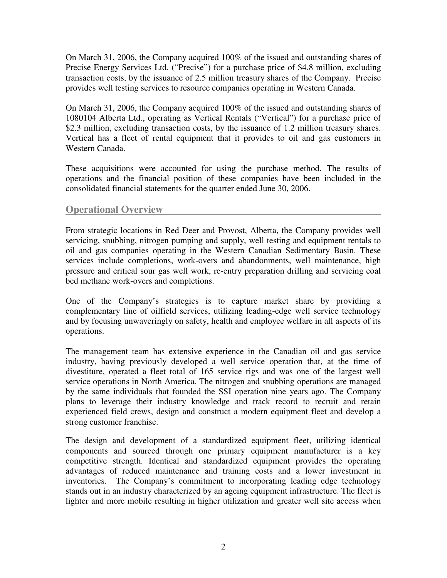On March 31, 2006, the Company acquired 100% of the issued and outstanding shares of Precise Energy Services Ltd. ("Precise") for a purchase price of \$4.8 million, excluding transaction costs, by the issuance of 2.5 million treasury shares of the Company. Precise provides well testing services to resource companies operating in Western Canada.

On March 31, 2006, the Company acquired 100% of the issued and outstanding shares of 1080104 Alberta Ltd., operating as Vertical Rentals ("Vertical") for a purchase price of \$2.3 million, excluding transaction costs, by the issuance of 1.2 million treasury shares. Vertical has a fleet of rental equipment that it provides to oil and gas customers in Western Canada.

These acquisitions were accounted for using the purchase method. The results of operations and the financial position of these companies have been included in the consolidated financial statements for the quarter ended June 30, 2006.

## **Operational Overview**

From strategic locations in Red Deer and Provost, Alberta, the Company provides well servicing, snubbing, nitrogen pumping and supply, well testing and equipment rentals to oil and gas companies operating in the Western Canadian Sedimentary Basin. These services include completions, work-overs and abandonments, well maintenance, high pressure and critical sour gas well work, re-entry preparation drilling and servicing coal bed methane work-overs and completions.

One of the Company's strategies is to capture market share by providing a complementary line of oilfield services, utilizing leading-edge well service technology and by focusing unwaveringly on safety, health and employee welfare in all aspects of its operations.

The management team has extensive experience in the Canadian oil and gas service industry, having previously developed a well service operation that, at the time of divestiture, operated a fleet total of 165 service rigs and was one of the largest well service operations in North America. The nitrogen and snubbing operations are managed by the same individuals that founded the SSI operation nine years ago. The Company plans to leverage their industry knowledge and track record to recruit and retain experienced field crews, design and construct a modern equipment fleet and develop a strong customer franchise.

The design and development of a standardized equipment fleet, utilizing identical components and sourced through one primary equipment manufacturer is a key competitive strength. Identical and standardized equipment provides the operating advantages of reduced maintenance and training costs and a lower investment in inventories. The Company's commitment to incorporating leading edge technology stands out in an industry characterized by an ageing equipment infrastructure. The fleet is lighter and more mobile resulting in higher utilization and greater well site access when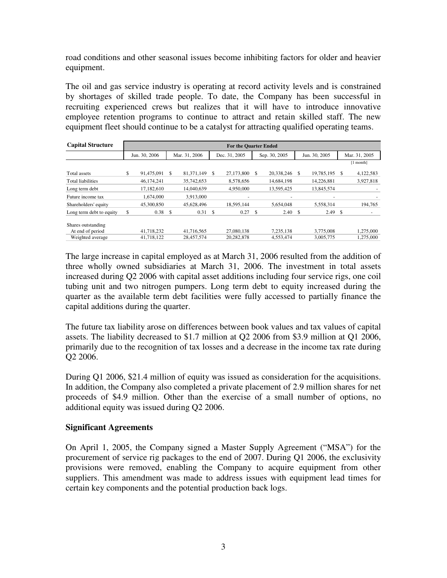road conditions and other seasonal issues become inhibiting factors for older and heavier equipment.

The oil and gas service industry is operating at record activity levels and is constrained by shortages of skilled trade people. To date, the Company has been successful in recruiting experienced crews but realizes that it will have to introduce innovative employee retention programs to continue to attract and retain skilled staff. The new equipment fleet should continue to be a catalyst for attracting qualified operating teams.

| <b>Capital Structure</b> | <b>For the Quarter Ended</b> |               |                    |               |               |                          |    |               |    |               |               |               |
|--------------------------|------------------------------|---------------|--------------------|---------------|---------------|--------------------------|----|---------------|----|---------------|---------------|---------------|
|                          |                              | Jun. 30, 2006 |                    | Mar. 31, 2006 | Dec. 31, 2005 |                          |    | Sep. 30, 2005 |    | Jun. 30, 2005 |               | Mar. 31, 2005 |
|                          |                              |               |                    |               |               |                          |    |               |    |               |               | [1 month]     |
| Total assets             | \$                           | 91,475,091 \$ |                    | 81,371,149    | \$            | 27,173,800               | \$ | 20,338,246    | \$ | 19,785,195    | <sup>\$</sup> | 4,122,583     |
| <b>Total liabilities</b> |                              | 46.174.241    |                    | 35,742,653    |               | 8.578.656                |    | 14,684,198    |    | 14,226,881    |               | 3,927,818     |
| Long term debt           |                              | 17.182.610    |                    | 14.040.639    |               | 4,950,000                |    | 13.595.425    |    | 13.845.574    |               |               |
| Future income tax        |                              | 1,674,000     |                    | 3,913,000     |               | $\overline{\phantom{a}}$ |    |               |    |               |               |               |
| Shareholders' equity     |                              | 45,300,850    |                    | 45,628,496    |               | 18,595,144               |    | 5,654,048     |    | 5,558,314     |               | 194,765       |
| Long term debt to equity | \$                           | 0.38          | $\mathbf{\hat{S}}$ | 0.31          | \$            | 0.27                     | \$ | 2.40          | \$ | 2.49          | -S            |               |
| Shares outstanding       |                              |               |                    |               |               |                          |    |               |    |               |               |               |
| At end of period         |                              | 41,718,232    |                    | 41,716,565    |               | 27,080,138               |    | 7,235,138     |    | 3,775,008     |               | 1,275,000     |
| Weighted average         |                              | 41.718.122    |                    | 28.457.574    |               | 20,282,878               |    | 4.553.474     |    | 3,005,775     |               | 1,275,000     |

The large increase in capital employed as at March 31, 2006 resulted from the addition of three wholly owned subsidiaries at March 31, 2006. The investment in total assets increased during Q2 2006 with capital asset additions including four service rigs, one coil tubing unit and two nitrogen pumpers. Long term debt to equity increased during the quarter as the available term debt facilities were fully accessed to partially finance the capital additions during the quarter.

The future tax liability arose on differences between book values and tax values of capital assets. The liability decreased to \$1.7 million at Q2 2006 from \$3.9 million at Q1 2006, primarily due to the recognition of tax losses and a decrease in the income tax rate during Q2 2006.

During Q1 2006, \$21.4 million of equity was issued as consideration for the acquisitions. In addition, the Company also completed a private placement of 2.9 million shares for net proceeds of \$4.9 million. Other than the exercise of a small number of options, no additional equity was issued during Q2 2006.

#### **Significant Agreements**

On April 1, 2005, the Company signed a Master Supply Agreement ("MSA") for the procurement of service rig packages to the end of 2007. During Q1 2006, the exclusivity provisions were removed, enabling the Company to acquire equipment from other suppliers. This amendment was made to address issues with equipment lead times for certain key components and the potential production back logs.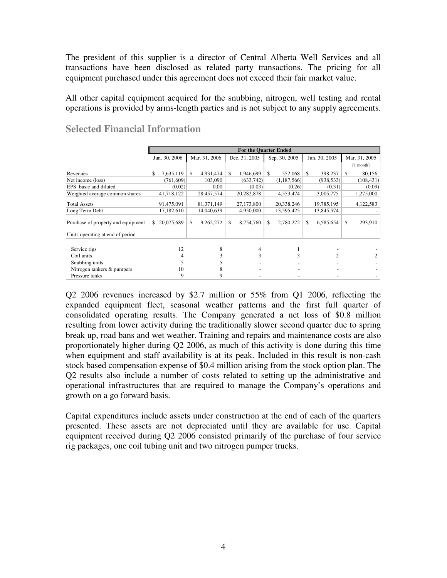The president of this supplier is a director of Central Alberta Well Services and all transactions have been disclosed as related party transactions. The pricing for all equipment purchased under this agreement does not exceed their fair market value.

All other capital equipment acquired for the snubbing, nitrogen, well testing and rental operations is provided by arms-length parties and is not subject to any supply agreements.

|                                    |                  |                 |                 | <b>For the Quarter Ended</b> |                |               |
|------------------------------------|------------------|-----------------|-----------------|------------------------------|----------------|---------------|
|                                    | Jun. 30, 2006    | Mar. 31, 2006   | Dec. 31, 2005   | Sep. 30, 2005                | Jun. 30, 2005  | Mar. 31, 2005 |
|                                    |                  |                 |                 |                              |                | $[1$ month]   |
| Revenues                           | 7,635,119<br>\$  | 4.931.474<br>\$ | 1,946,699<br>\$ | \$<br>552,068                | 398,237<br>-\$ | 80,156<br>-\$ |
| Net income (loss)                  | (761,609)        | 103,090         | (633, 742)      | (1,187,566)                  | (938, 533)     | (108, 431)    |
| EPS: basic and diluted             | (0.02)           | 0.00            | (0.03)          | (0.26)                       | (0.31)         | (0.09)        |
| Weighted average common shares     | 41,718,122       | 28,457,574      | 20,282,878      | 4,553,474                    | 3,005,775      | 1,275,000     |
| Total Assets                       | 91,475,091       | 81, 371, 149    | 27,173,800      | 20,338,246                   | 19,785,195     | 4,122,583     |
| Long Term Debt                     | 17,182,610       | 14,040,639      | 4,950,000       | 13,595,425                   | 13,845,574     |               |
| Purchase of property and equipment | 20,075,689<br>S. | 9,262,272<br>S. | 8,754,760<br>\$ | 2,780,272<br>\$              | 6,585,654<br>S | 293,910<br>-S |
| Units operating at end of period   |                  |                 |                 |                              |                |               |
|                                    |                  |                 |                 |                              |                |               |
| Service rigs                       | 12               | 8               | 4               |                              |                |               |
| Coil units                         |                  |                 | 3               | 3                            | 2              | 2             |
| Snubbing units                     |                  |                 |                 |                              |                |               |
| Nitrogen tankers & pumpers         | 10               |                 |                 |                              |                |               |
| Pressure tanks                     | 9                | 9               |                 |                              |                |               |

## **Selected Financial Information**

Q2 2006 revenues increased by \$2.7 million or 55% from Q1 2006, reflecting the expanded equipment fleet, seasonal weather patterns and the first full quarter of consolidated operating results. The Company generated a net loss of \$0.8 million resulting from lower activity during the traditionally slower second quarter due to spring break up, road bans and wet weather. Training and repairs and maintenance costs are also proportionately higher during Q2 2006, as much of this activity is done during this time when equipment and staff availability is at its peak. Included in this result is non-cash stock based compensation expense of \$0.4 million arising from the stock option plan. The Q2 results also include a number of costs related to setting up the administrative and operational infrastructures that are required to manage the Company's operations and growth on a go forward basis.

Capital expenditures include assets under construction at the end of each of the quarters presented. These assets are not depreciated until they are available for use. Capital equipment received during Q2 2006 consisted primarily of the purchase of four service rig packages, one coil tubing unit and two nitrogen pumper trucks.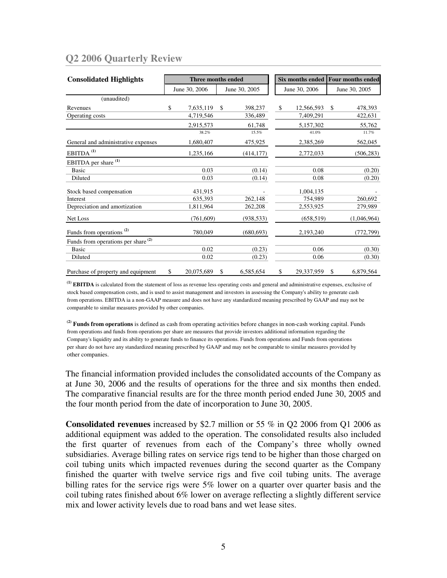## **Q2 2006 Quarterly Review**

| <b>Consolidated Highlights</b>                 |               | Three months ended |               |            |               |            | Six months ended Four months ended |             |
|------------------------------------------------|---------------|--------------------|---------------|------------|---------------|------------|------------------------------------|-------------|
|                                                | June 30, 2006 |                    | June 30, 2005 |            | June 30, 2006 |            | June 30, 2005                      |             |
| (unaudited)                                    |               |                    |               |            |               |            |                                    |             |
| Revenues                                       | \$            | 7,635,119          | \$            | 398,237    | \$            | 12,566,593 | <sup>\$</sup>                      | 478,393     |
| Operating costs                                |               | 4,719,546          |               | 336,489    |               | 7,409,291  |                                    | 422,631     |
|                                                |               | 2,915,573          |               | 61,748     |               | 5,157,302  |                                    | 55,762      |
|                                                |               | 38.2%              |               | 15.5%      |               | 41.0%      |                                    | 11.7%       |
| General and administrative expenses            |               | 1,680,407          |               | 475,925    |               | 2,385,269  |                                    | 562,045     |
| EBITDA <sup>(1)</sup>                          |               | 1,235,166          |               | (414, 177) |               | 2,772,033  |                                    | (506, 283)  |
| EBITDA per share <sup>(1)</sup>                |               |                    |               |            |               |            |                                    |             |
| Basic                                          |               | 0.03               |               | (0.14)     |               | 0.08       |                                    | (0.20)      |
| Diluted                                        |               | 0.03               |               | (0.14)     |               | 0.08       |                                    | (0.20)      |
| Stock based compensation                       |               | 431,915            |               |            |               | 1,004,135  |                                    |             |
| Interest                                       |               | 635,393            |               | 262,148    |               | 754,989    |                                    | 260,692     |
| Depreciation and amortization                  |               | 1,811,964          |               | 262,208    |               | 2,553,925  |                                    | 279,989     |
| Net Loss                                       |               | (761, 609)         |               | (938, 533) |               | (658, 519) |                                    | (1,046,964) |
| Funds from operations <sup>(2)</sup>           |               | 780,049            |               | (680, 693) |               | 2,193,240  |                                    | (772, 799)  |
| Funds from operations per share <sup>(2)</sup> |               |                    |               |            |               |            |                                    |             |
| Basic                                          |               | 0.02               |               | (0.23)     |               | 0.06       |                                    | (0.30)      |
| Diluted                                        |               | 0.02               |               | (0.23)     |               | 0.06       |                                    | (0.30)      |
| Purchase of property and equipment             | \$            | 20,075,689         | \$            | 6,585,654  | \$            | 29,337,959 | S                                  | 6,879,564   |

**(1) EBITDA** is calculated from the statement of loss as revenue less operating costs and general and administrative expenses, exclusive of stock based compensation costs, and is used to assist management and investors in assessing the Company's ability to generate cash from operations. EBITDA ia a non-GAAP measure and does not have any standardized meaning prescribed by GAAP and may not be comparable to similar measures provided by other companies.

**(2) Funds from operations** is defined as cash from operating activities before changes in non-cash working capital. Funds from operations and funds from operations per share are measures that provide investors additional information regarding the Company's liquidity and its ability to generate funds to finance its operations. Funds from operations and Funds from operations per share do not have any standardized meaning prescribed by GAAP and may not be comparable to similar measures provided by other companies.

The financial information provided includes the consolidated accounts of the Company as at June 30, 2006 and the results of operations for the three and six months then ended. The comparative financial results are for the three month period ended June 30, 2005 and the four month period from the date of incorporation to June 30, 2005.

**Consolidated revenues** increased by \$2.7 million or 55 % in Q2 2006 from Q1 2006 as additional equipment was added to the operation. The consolidated results also included the first quarter of revenues from each of the Company's three wholly owned subsidiaries. Average billing rates on service rigs tend to be higher than those charged on coil tubing units which impacted revenues during the second quarter as the Company finished the quarter with twelve service rigs and five coil tubing units. The average billing rates for the service rigs were 5% lower on a quarter over quarter basis and the coil tubing rates finished about 6% lower on average reflecting a slightly different service mix and lower activity levels due to road bans and wet lease sites.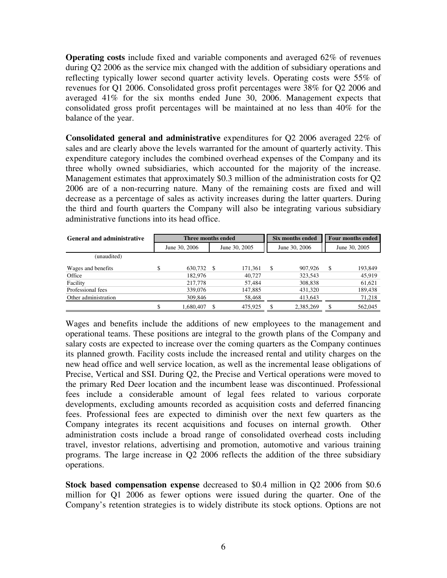**Operating costs** include fixed and variable components and averaged 62% of revenues during Q2 2006 as the service mix changed with the addition of subsidiary operations and reflecting typically lower second quarter activity levels. Operating costs were 55% of revenues for Q1 2006. Consolidated gross profit percentages were 38% for Q2 2006 and averaged 41% for the six months ended June 30, 2006. Management expects that consolidated gross profit percentages will be maintained at no less than 40% for the balance of the year.

**Consolidated general and administrative** expenditures for Q2 2006 averaged 22% of sales and are clearly above the levels warranted for the amount of quarterly activity. This expenditure category includes the combined overhead expenses of the Company and its three wholly owned subsidiaries, which accounted for the majority of the increase. Management estimates that approximately \$0.3 million of the administration costs for Q2 2006 are of a non-recurring nature. Many of the remaining costs are fixed and will decrease as a percentage of sales as activity increases during the latter quarters. During the third and fourth quarters the Company will also be integrating various subsidiary administrative functions into its head office.

| <b>General and administrative</b> |               | Three months ended |               |         |               | Six months ended |    | <b>Four months ended</b> |  |
|-----------------------------------|---------------|--------------------|---------------|---------|---------------|------------------|----|--------------------------|--|
|                                   | June 30, 2006 |                    | June 30, 2005 |         | June 30, 2006 |                  |    | June 30, 2005            |  |
| (unaudited)                       |               |                    |               |         |               |                  |    |                          |  |
| Wages and benefits                | \$            | 630,732            | -S            | 171.361 | \$            | 907.926          | \$ | 193,849                  |  |
| Office                            |               | 182,976            |               | 40,727  |               | 323,543          |    | 45,919                   |  |
| Facility                          |               | 217,778            |               | 57,484  |               | 308,838          |    | 61,621                   |  |
| Professional fees                 |               | 339,076            |               | 147,885 |               | 431,320          |    | 189,438                  |  |
| Other administration              |               | 309,846            |               | 58,468  |               | 413,643          |    | 71,218                   |  |
|                                   | \$            | 1,680,407          |               | 475,925 |               | 2,385,269        |    | 562,045                  |  |

Wages and benefits include the additions of new employees to the management and operational teams. These positions are integral to the growth plans of the Company and salary costs are expected to increase over the coming quarters as the Company continues its planned growth. Facility costs include the increased rental and utility charges on the new head office and well service location, as well as the incremental lease obligations of Precise, Vertical and SSI. During Q2, the Precise and Vertical operations were moved to the primary Red Deer location and the incumbent lease was discontinued. Professional fees include a considerable amount of legal fees related to various corporate developments, excluding amounts recorded as acquisition costs and deferred financing fees. Professional fees are expected to diminish over the next few quarters as the Company integrates its recent acquisitions and focuses on internal growth. Other administration costs include a broad range of consolidated overhead costs including travel, investor relations, advertising and promotion, automotive and various training programs. The large increase in Q2 2006 reflects the addition of the three subsidiary operations.

**Stock based compensation expense** decreased to \$0.4 million in Q2 2006 from \$0.6 million for Q1 2006 as fewer options were issued during the quarter. One of the Company's retention strategies is to widely distribute its stock options. Options are not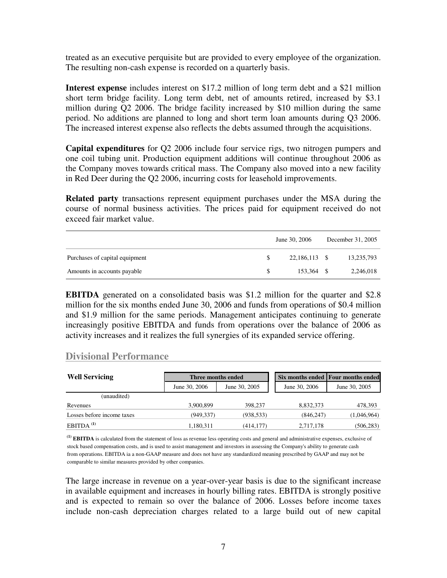treated as an executive perquisite but are provided to every employee of the organization. The resulting non-cash expense is recorded on a quarterly basis.

**Interest expense** includes interest on \$17.2 million of long term debt and a \$21 million short term bridge facility. Long term debt, net of amounts retired, increased by \$3.1 million during Q2 2006. The bridge facility increased by \$10 million during the same period. No additions are planned to long and short term loan amounts during Q3 2006. The increased interest expense also reflects the debts assumed through the acquisitions.

**Capital expenditures** for Q2 2006 include four service rigs, two nitrogen pumpers and one coil tubing unit. Production equipment additions will continue throughout 2006 as the Company moves towards critical mass. The Company also moved into a new facility in Red Deer during the Q2 2006, incurring costs for leasehold improvements.

**Related party** transactions represent equipment purchases under the MSA during the course of normal business activities. The prices paid for equipment received do not exceed fair market value.

|                                |     | June 30, 2006 | December 31, 2005 |
|--------------------------------|-----|---------------|-------------------|
| Purchases of capital equipment |     | 22,186,113 \$ | 13,235,793        |
| Amounts in accounts payable    | \$. | 153.364 \$    | 2,246,018         |

**EBITDA** generated on a consolidated basis was \$1.2 million for the quarter and \$2.8 million for the six months ended June 30, 2006 and funds from operations of \$0.4 million and \$1.9 million for the same periods. Management anticipates continuing to generate increasingly positive EBITDA and funds from operations over the balance of 2006 as activity increases and it realizes the full synergies of its expanded service offering.

#### **Divisional Performance**

| <b>Well Servicing</b>      | Three months ended |               |               | Six months ended Four months ended |
|----------------------------|--------------------|---------------|---------------|------------------------------------|
|                            | June 30, 2006      | June 30, 2005 | June 30, 2006 | June 30, 2005                      |
| (unaudited)                |                    |               |               |                                    |
| Revenues                   | 3.900.899          | 398,237       | 8,832,373     | 478,393                            |
| Losses before income taxes | (949, 337)         | (938, 533)    | (846, 247)    | (1,046,964)                        |
| $EBITDA$ <sup>(1)</sup>    | 1,180,311          | (414, 177)    | 2,717,178     | (506, 283)                         |

**(1) EBITDA** is calculated from the statement of loss as revenue less operating costs and general and administrative expenses, exclusive of stock based compensation costs, and is used to assist management and investors in assessing the Company's ability to generate cash from operations. EBITDA ia a non-GAAP measure and does not have any standardized meaning prescribed by GAAP and may not be comparable to similar measures provided by other companies.

The large increase in revenue on a year-over-year basis is due to the significant increase in available equipment and increases in hourly billing rates. EBITDA is strongly positive and is expected to remain so over the balance of 2006. Losses before income taxes include non-cash depreciation charges related to a large build out of new capital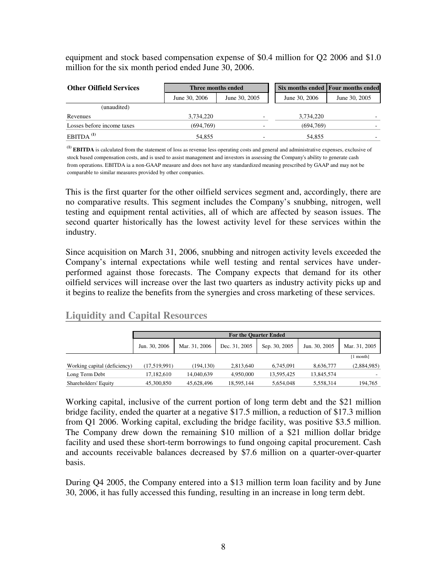equipment and stock based compensation expense of \$0.4 million for Q2 2006 and \$1.0 million for the six month period ended June 30, 2006.

| <b>Other Oilfield Services</b> | Three months ended |               |               | Six months ended Four months ended |  |
|--------------------------------|--------------------|---------------|---------------|------------------------------------|--|
|                                | June 30, 2006      | June 30, 2005 | June 30, 2006 | June 30, 2005                      |  |
| (unaudited)                    |                    |               |               |                                    |  |
| Revenues                       | 3.734.220          |               | 3,734,220     |                                    |  |
| Losses before income taxes     | (694,769)          |               | (694,769)     |                                    |  |
| $EBITDA$ <sup>(1)</sup>        | 54,855             |               | 54.855        |                                    |  |

**(1) EBITDA** is calculated from the statement of loss as revenue less operating costs and general and administrative expenses, exclusive of stock based compensation costs, and is used to assist management and investors in assessing the Company's ability to generate cash from operations. EBITDA ia a non-GAAP measure and does not have any standardized meaning prescribed by GAAP and may not be comparable to similar measures provided by other companies.

This is the first quarter for the other oilfield services segment and, accordingly, there are no comparative results. This segment includes the Company's snubbing, nitrogen, well testing and equipment rental activities, all of which are affected by season issues. The second quarter historically has the lowest activity level for these services within the industry.

Since acquisition on March 31, 2006, snubbing and nitrogen activity levels exceeded the Company's internal expectations while well testing and rental services have underperformed against those forecasts. The Company expects that demand for its other oilfield services will increase over the last two quarters as industry activity picks up and it begins to realize the benefits from the synergies and cross marketing of these services.

#### **Liquidity and Capital Resources**

|                              | <b>For the Ouarter Ended</b> |               |               |               |               |               |  |  |  |  |
|------------------------------|------------------------------|---------------|---------------|---------------|---------------|---------------|--|--|--|--|
|                              | Jun. 30, 2006                | Mar. 31, 2006 | Dec. 31, 2005 | Sep. 30, 2005 | Jun. 30, 2005 | Mar. 31, 2005 |  |  |  |  |
|                              |                              |               |               |               |               | [1 month]     |  |  |  |  |
| Working capital (deficiency) | (17, 519, 991)               | (194.130)     | 2,813,640     | 6.745.091     | 8.636.777     | (2,884,985)   |  |  |  |  |
| Long Term Debt               | 17.182.610                   | 14.040.639    | 4.950.000     | 13.595.425    | 13.845.574    |               |  |  |  |  |
| Shareholders' Equity         | 45,300,850                   | 45,628,496    | 18,595,144    | 5,654,048     | 5,558,314     | 194,765       |  |  |  |  |

Working capital, inclusive of the current portion of long term debt and the \$21 million bridge facility, ended the quarter at a negative \$17.5 million, a reduction of \$17.3 million from Q1 2006. Working capital, excluding the bridge facility, was positive \$3.5 million. The Company drew down the remaining \$10 million of a \$21 million dollar bridge facility and used these short-term borrowings to fund ongoing capital procurement. Cash and accounts receivable balances decreased by \$7.6 million on a quarter-over-quarter basis.

During Q4 2005, the Company entered into a \$13 million term loan facility and by June 30, 2006, it has fully accessed this funding, resulting in an increase in long term debt.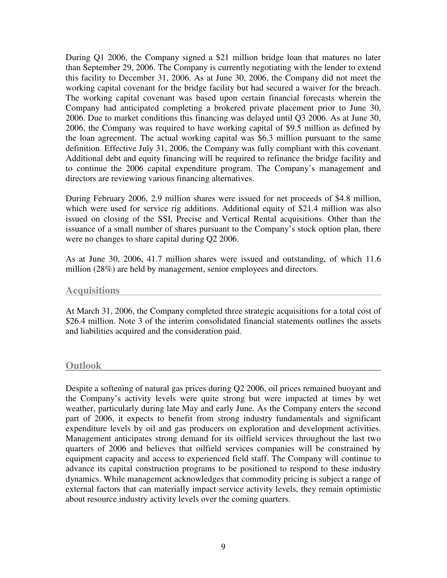During Q1 2006, the Company signed a \$21 million bridge loan that matures no later than September 29, 2006. The Company is currently negotiating with the lender to extend this facility to December 31, 2006. As at June 30, 2006, the Company did not meet the working capital covenant for the bridge facility but had secured a waiver for the breach. The working capital covenant was based upon certain financial forecasts wherein the Company had anticipated completing a brokered private placement prior to June 30, 2006. Due to market conditions this financing was delayed until Q3 2006. As at June 30, 2006, the Company was required to have working capital of \$9.5 million as defined by the loan agreement. The actual working capital was \$6.3 million pursuant to the same definition. Effective July 31, 2006, the Company was fully compliant with this covenant. Additional debt and equity financing will be required to refinance the bridge facility and to continue the 2006 capital expenditure program. The Company's management and directors are reviewing various financing alternatives.

During February 2006, 2.9 million shares were issued for net proceeds of \$4.8 million, which were used for service rig additions. Additional equity of \$21.4 million was also issued on closing of the SSI, Precise and Vertical Rental acquisitions. Other than the issuance of a small number of shares pursuant to the Company's stock option plan, there were no changes to share capital during Q2 2006.

As at June 30, 2006, 41.7 million shares were issued and outstanding, of which 11.6 million (28%) are held by management, senior employees and directors.

#### **Acquisitions**

At March 31, 2006, the Company completed three strategic acquisitions for a total cost of \$26.4 million. Note 3 of the interim consolidated financial statements outlines the assets and liabilities acquired and the consideration paid.

#### **Outlook**

Despite a softening of natural gas prices during Q2 2006, oil prices remained buoyant and the Company's activity levels were quite strong but were impacted at times by wet weather, particularly during late May and early June. As the Company enters the second part of 2006, it expects to benefit from strong industry fundamentals and significant expenditure levels by oil and gas producers on exploration and development activities. Management anticipates strong demand for its oilfield services throughout the last two quarters of 2006 and believes that oilfield services companies will be constrained by equipment capacity and access to experienced field staff. The Company will continue to advance its capital construction programs to be positioned to respond to these industry dynamics. While management acknowledges that commodity pricing is subject a range of external factors that can materially impact service activity levels, they remain optimistic about resource industry activity levels over the coming quarters.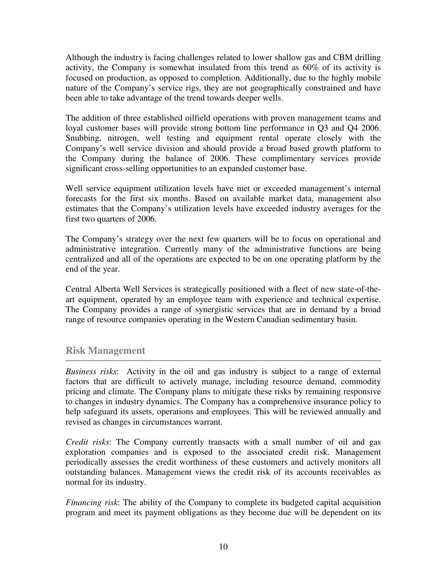Although the industry is facing challenges related to lower shallow gas and CBM drilling activity, the Company is somewhat insulated from this trend as 60% of its activity is focused on production, as opposed to completion. Additionally, due to the highly mobile nature of the Company's service rigs, they are not geographically constrained and have been able to take advantage of the trend towards deeper wells.

The addition of three established oilfield operations with proven management teams and loyal customer bases will provide strong bottom line performance in Q3 and Q4 2006. Snubbing, nitrogen, well testing and equipment rental operate closely with the Company's well service division and should provide a broad based growth platform to the Company during the balance of 2006. These complimentary services provide significant cross-selling opportunities to an expanded customer base.

Well service equipment utilization levels have met or exceeded management's internal forecasts for the first six months. Based on available market data, management also estimates that the Company's utilization levels have exceeded industry averages for the first two quarters of 2006.

The Company's strategy over the next few quarters will be to focus on operational and administrative integration. Currently many of the administrative functions are being centralized and all of the operations are expected to be on one operating platform by the end of the year.

Central Alberta Well Services is strategically positioned with a fleet of new state-of-theart equipment, operated by an employee team with experience and technical expertise. The Company provides a range of synergistic services that are in demand by a broad range of resource companies operating in the Western Canadian sedimentary basin.

## **Risk Management**

*Business risks*: Activity in the oil and gas industry is subject to a range of external factors that are difficult to actively manage, including resource demand, commodity pricing and climate. The Company plans to mitigate these risks by remaining responsive to changes in industry dynamics. The Company has a comprehensive insurance policy to help safeguard its assets, operations and employees. This will be reviewed annually and revised as changes in circumstances warrant.

*Credit risks*: The Company currently transacts with a small number of oil and gas exploration companies and is exposed to the associated credit risk. Management periodically assesses the credit worthiness of these customers and actively monitors all outstanding balances. Management views the credit risk of its accounts receivables as normal for its industry.

*Financing risk*: The ability of the Company to complete its budgeted capital acquisition program and meet its payment obligations as they become due will be dependent on its